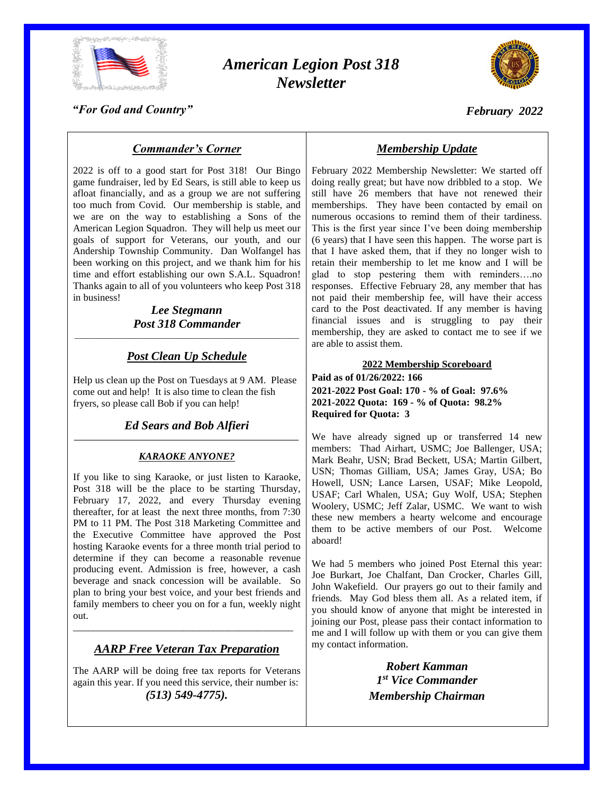

# *American Legion Post 318 Newsletter*



*February 2022*

*"For God and Country"*

# *Commander's Corner*

2022 is off to a good start for Post 318! Our Bingo game fundraiser, led by Ed Sears, is still able to keep us afloat financially, and as a group we are not suffering too much from Covid. Our membership is stable, and we are on the way to establishing a Sons of the American Legion Squadron. They will help us meet our goals of support for Veterans, our youth, and our Andership Township Community. Dan Wolfangel has been working on this project, and we thank him for his time and effort establishing our own S.A.L. Squadron! Thanks again to all of you volunteers who keep Post 318 in business!

#### *Lee Stegmann Post 318 Commander* \_\_\_\_\_\_\_\_\_\_\_\_\_\_\_\_\_\_\_\_\_\_\_\_\_\_\_\_\_\_\_\_\_\_\_\_\_\_\_\_\_\_\_\_\_\_\_\_\_\_\_\_\_\_\_\_

# *Post Clean Up Schedule*

Help us clean up the Post on Tuesdays at 9 AM. Please come out and help! It is also time to clean the fish fryers, so please call Bob if you can help!

*Ed Sears and Bob Alfieri \_\_\_\_\_\_\_\_\_\_\_\_\_\_\_\_\_\_\_\_\_\_\_\_\_\_\_\_\_\_\_\_\_\_\_\_\_\_\_\_\_\_\_\_\_\_\_\_\_\_\_\_\_\_\_\_*

## *KARAOKE ANYONE?*

If you like to sing Karaoke, or just listen to Karaoke, Post 318 will be the place to be starting Thursday, February 17, 2022, and every Thursday evening thereafter, for at least the next three months, from 7:30 PM to 11 PM. The Post 318 Marketing Committee and the Executive Committee have approved the Post hosting Karaoke events for a three month trial period to determine if they can become a reasonable revenue producing event. Admission is free, however, a cash beverage and snack concession will be available. So plan to bring your best voice, and your best friends and family members to cheer you on for a fun, weekly night out.

# *AARP Free Veteran Tax Preparation*

\_\_\_\_\_\_\_\_\_\_\_\_\_\_\_\_\_\_\_\_\_\_\_\_\_\_\_\_\_\_\_\_\_\_\_\_\_\_\_\_\_\_\_\_

The AARP will be doing free tax reports for Veterans again this year. If you need this service, their number is: *(513) 549-4775).*

# *Membership Update*

February 2022 Membership Newsletter: We started off doing really great; but have now dribbled to a stop. We still have 26 members that have not renewed their memberships. They have been contacted by email on numerous occasions to remind them of their tardiness. This is the first year since I've been doing membership (6 years) that I have seen this happen. The worse part is that I have asked them, that if they no longer wish to retain their membership to let me know and I will be glad to stop pestering them with reminders….no responses. Effective February 28, any member that has not paid their membership fee, will have their access card to the Post deactivated. If any member is having financial issues and is struggling to pay their membership, they are asked to contact me to see if we are able to assist them.

#### **2022 Membership Scoreboard**

**Paid as of 01/26/2022: 166 2021-2022 Post Goal: 170 - % of Goal: 97.6% 2021-2022 Quota: 169 - % of Quota: 98.2% Required for Quota: 3**

We have already signed up or transferred 14 new members: Thad Airhart, USMC; Joe Ballenger, USA; Mark Beahr, USN; Brad Beckett, USA; Martin Gilbert, USN; Thomas Gilliam, USA; James Gray, USA; Bo Howell, USN; Lance Larsen, USAF; Mike Leopold, USAF; Carl Whalen, USA; Guy Wolf, USA; Stephen Woolery, USMC; Jeff Zalar, USMC. We want to wish these new members a hearty welcome and encourage them to be active members of our Post. Welcome aboard!

We had 5 members who joined Post Eternal this year: Joe Burkart, Joe Chalfant, Dan Crocker, Charles Gill, John Wakefield. Our prayers go out to their family and friends. May God bless them all. As a related item, if you should know of anyone that might be interested in joining our Post, please pass their contact information to me and I will follow up with them or you can give them my contact information.

> *Robert Kamman 1 st Vice Commander Membership Chairman*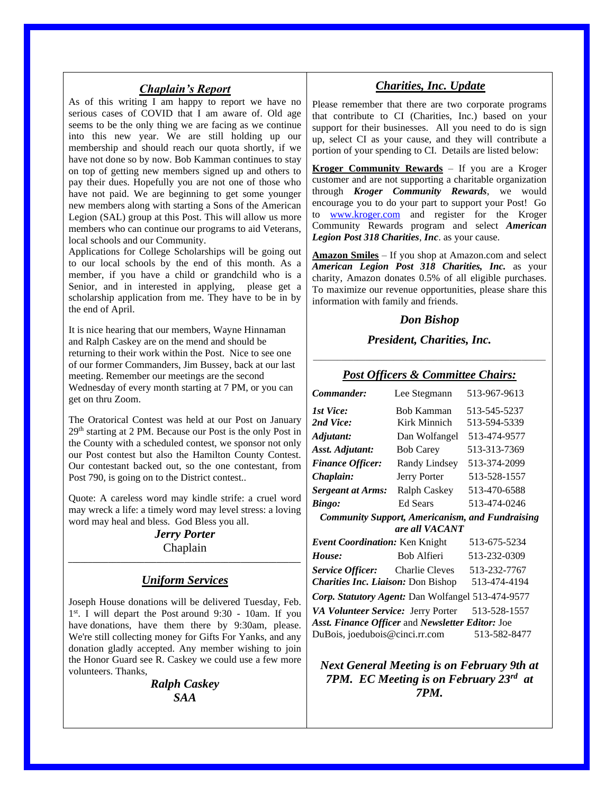#### *Chaplain's Report*

As of this writing I am happy to report we have no serious cases of COVID that I am aware of. Old age seems to be the only thing we are facing as we continue into this new year. We are still holding up our membership and should reach our quota shortly, if we have not done so by now. Bob Kamman continues to stay on top of getting new members signed up and others to pay their dues. Hopefully you are not one of those who have not paid. We are beginning to get some younger new members along with starting a Sons of the American Legion (SAL) group at this Post. This will allow us more members who can continue our programs to aid Veterans, local schools and our Community.

Applications for College Scholarships will be going out to our local schools by the end of this month. As a member, if you have a child or grandchild who is a Senior, and in interested in applying, please get a scholarship application from me. They have to be in by the end of April.

It is nice hearing that our members, Wayne Hinnaman and Ralph Caskey are on the mend and should be returning to their work within the Post. Nice to see one of our former Commanders, Jim Bussey, back at our last meeting. Remember our meetings are the second Wednesday of every month starting at 7 PM, or you can get on thru Zoom.

The Oratorical Contest was held at our Post on January 29th starting at 2 PM. Because our Post is the only Post in the County with a scheduled contest, we sponsor not only our Post contest but also the Hamilton County Contest. Our contestant backed out, so the one contestant, from Post 790, is going on to the District contest..

Quote: A careless word may kindle strife: a cruel word may wreck a life: a timely word may level stress: a loving word may heal and bless. God Bless you all.

#### *Jerry Porter* Chaplain *\_\_\_\_\_\_\_\_\_\_\_\_\_\_\_\_\_\_\_\_\_\_\_\_\_\_\_\_\_\_\_\_\_\_\_\_\_\_\_\_\_\_\_\_\_\_\_\_\_\_\_\_\_\_\_\_\_\_*

## *Uniform Services*

Joseph House donations will be delivered Tuesday, Feb. 1 st. I will depart the Post around 9:30 - 10am. If you have donations, have them there by 9:30am, please. We're still collecting money for Gifts For Yanks, and any donation gladly accepted. Any member wishing to join the Honor Guard see R. Caskey we could use a few more volunteers. Thanks,

> *Ralph Caskey SAA*

## *Charities, Inc. Update*

Please remember that there are two corporate programs that contribute to CI (Charities, Inc.) based on your support for their businesses. All you need to do is sign up, select CI as your cause, and they will contribute a portion of your spending to CI. Details are listed below:

**Kroger Community Rewards** – If you are a Kroger customer and are not supporting a charitable organization through *Kroger Community Rewards*, we would encourage you to do your part to support your Post! Go to [www.kroger.com](http://www.kroger.com/) and register for the Kroger Community Rewards program and select *American Legion Post 318 Charities*, *Inc*. as your cause.

**Amazon Smiles** – If you shop at Amazon.com and select *American Legion Post 318 Charities, Inc.* as your charity, Amazon donates 0.5% of all eligible purchases. To maximize our revenue opportunities, please share this information with family and friends.

### *Don Bishop*

# *President, Charities, Inc.* \_\_\_\_\_\_\_\_\_\_\_\_\_\_\_\_\_\_\_\_\_\_\_\_\_\_\_\_\_\_\_\_\_\_\_\_\_\_\_\_\_\_\_\_\_\_\_\_\_\_\_\_\_\_\_\_\_\_

### *Post Officers & Committee Chairs:*

| Commander:                                             | Lee Stegmann        | 513-967-9613 |
|--------------------------------------------------------|---------------------|--------------|
| 1st Vice:                                              | <b>Bob Kamman</b>   | 513-545-5237 |
| 2nd Vice:                                              | Kirk Minnich        | 513-594-5339 |
| Adjutant:                                              | Dan Wolfangel       | 513-474-9577 |
| Asst. Adjutant:                                        | <b>Bob Carey</b>    | 513-313-7369 |
| <b>Finance Officer:</b>                                | Randy Lindsey       | 513-374-2099 |
| Chaplain:                                              | Jerry Porter        | 513-528-1557 |
| <b>Sergeant at Arms:</b>                               | <b>Ralph Caskey</b> | 513-470-6588 |
| <b>Bingo:</b>                                          | Ed Sears            | 513-474-0246 |
| <b>Community Support, Americanism, and Fundraising</b> |                     |              |
| are all VACANT                                         |                     |              |
| Event Coordination: Ken Knight                         |                     | 513-675-5234 |
| House:                                                 | <b>Bob Alfieri</b>  | 513-232-0309 |
| <b>Service Officer:</b> Charlie Cleves                 |                     | 513-232-7767 |
| <b>Charities Inc. Liaison: Don Bishop</b>              |                     | 513-474-4194 |
| Corp. Statutory Agent: Dan Wolfangel 513-474-9577      |                     |              |
| VA Volunteer Service: Jerry Porter                     |                     | 513-528-1557 |
| Asst. Finance Officer and Newsletter Editor: Joe       |                     |              |
| DuBois, joedubois@cinci.rr.com<br>513-582-8477         |                     |              |

*Next General Meeting is on February 9th at 7PM. EC Meeting is on February 23rd at 7PM.*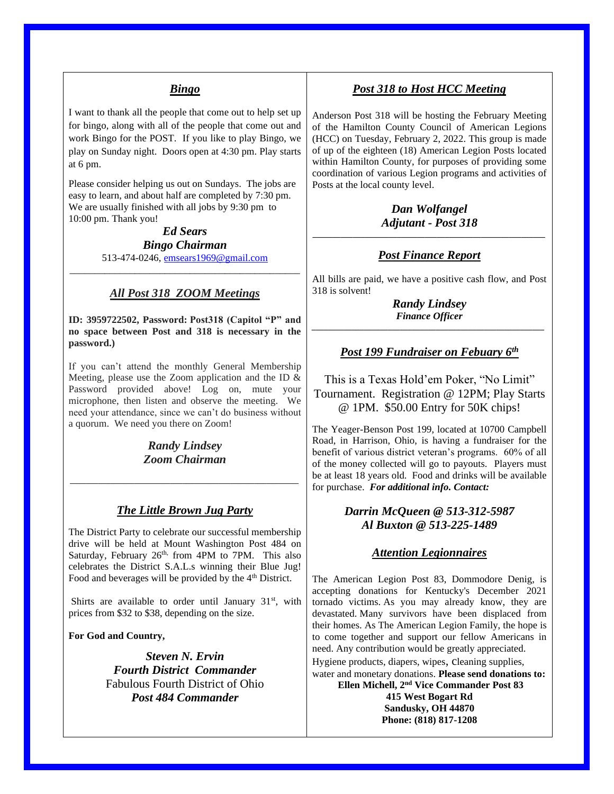## *Bingo*

I want to thank all the people that come out to help set up for bingo, along with all of the people that come out and work Bingo for the POST. If you like to play Bingo, we play on Sunday night. Doors open at 4:30 pm. Play starts at 6 pm.

Please consider helping us out on Sundays. The jobs are easy to learn, and about half are completed by 7:30 pm. We are usually finished with all jobs by 9:30 pm to 10:00 pm. Thank you!

> *Ed Sears Bingo Chairman* 513-474-0246, [emsears1969@gmail.com](mailto:emsears1969@gmail.com)

\_\_\_\_\_\_\_\_\_\_\_\_\_\_\_\_\_\_\_\_\_\_\_\_\_\_\_\_\_\_\_\_\_\_\_\_\_\_\_\_\_\_\_\_\_\_

### *All Post 318 ZOOM Meetings*

**ID: 3959722502, Password: Post318 (Capitol "P" and no space between Post and 318 is necessary in the password.)**

If you can't attend the monthly General Membership Meeting, please use the Zoom application and the ID & Password provided above! Log on, mute your microphone, then listen and observe the meeting. We need your attendance, since we can't do business without a quorum. We need you there on Zoom!

> *Randy Lindsey Zoom Chairman*

*\_\_\_\_\_\_\_\_\_\_\_\_\_\_\_\_\_\_\_\_\_\_\_\_\_\_\_\_\_\_\_\_\_\_\_\_\_\_\_\_\_\_\_\_\_\_\_\_\_\_\_\_\_\_\_\_\_*

### *The Little Brown Jug Party*

The District Party to celebrate our successful membership drive will be held at Mount Washington Post 484 on Saturday, February  $26<sup>th</sup>$ , from 4PM to 7PM. This also celebrates the District S.A.L.s winning their Blue Jug! Food and beverages will be provided by the 4<sup>th</sup> District.

Shirts are available to order until January  $31<sup>st</sup>$ , with prices from \$32 to \$38, depending on the size.

**For God and Country,**

*Steven N. Ervin Fourth District Commander* Fabulous Fourth District of Ohio *Post 484 Commander*

## *Post 318 to Host HCC Meeting*

Anderson Post 318 will be hosting the February Meeting of the Hamilton County Council of American Legions (HCC) on Tuesday, February 2, 2022. This group is made of up of the eighteen (18) American Legion Posts located within Hamilton County, for purposes of providing some coordination of various Legion programs and activities of Posts at the local county level.

#### *Dan Wolfangel Adjutant - Post 318 \_\_\_\_\_\_\_\_\_\_\_\_\_\_\_\_\_\_\_\_\_\_\_\_\_\_\_\_\_\_\_\_\_\_\_\_\_\_\_\_\_\_\_\_\_\_\_\_\_\_\_\_\_\_\_\_\_\_*

## *Post Finance Report*

All bills are paid, we have a positive cash flow, and Post 318 is solvent!

*Randy Lindsey Finance Officer \_\_\_\_\_\_\_\_\_\_\_\_\_\_\_\_\_\_\_\_\_\_\_\_\_\_\_\_\_\_\_\_\_\_\_\_\_\_\_\_\_\_\_\_\_\_\_\_\_\_\_\_\_\_\_\_\_\_*

## *Post 199 Fundraiser on Febuary 6th*

This is a Texas Hold'em Poker, "No Limit" Tournament. Registration @ 12PM; Play Starts @ 1PM. \$50.00 Entry for 50K chips!

The Yeager-Benson Post 199, located at 10700 Campbell Road, in Harrison, Ohio, is having a fundraiser for the benefit of various district veteran's programs. 60% of all of the money collected will go to payouts. Players must be at least 18 years old. Food and drinks will be available for purchase. *For additional info. Contact:*

### *Darrin McQueen @ 513-312-5987 Al Buxton @ 513-225-1489*

### *Attention Legionnaires*

The American Legion Post 83, Dommodore Denig, is accepting donations for Kentucky's December 2021 tornado victims. As you may already know, they are devastated. Many survivors have been displaced from their homes. As The American Legion Family, the hope is to come together and support our fellow Americans in need. Any contribution would be greatly appreciated. Hygiene products, diapers, wipes, cleaning supplies, water and monetary donations. **Please send donations to: Ellen Michell, 2nd Vice Commander Post 83 415 West Bogart Rd**

**Sandusky, OH 44870 Phone: (818) 817-1208**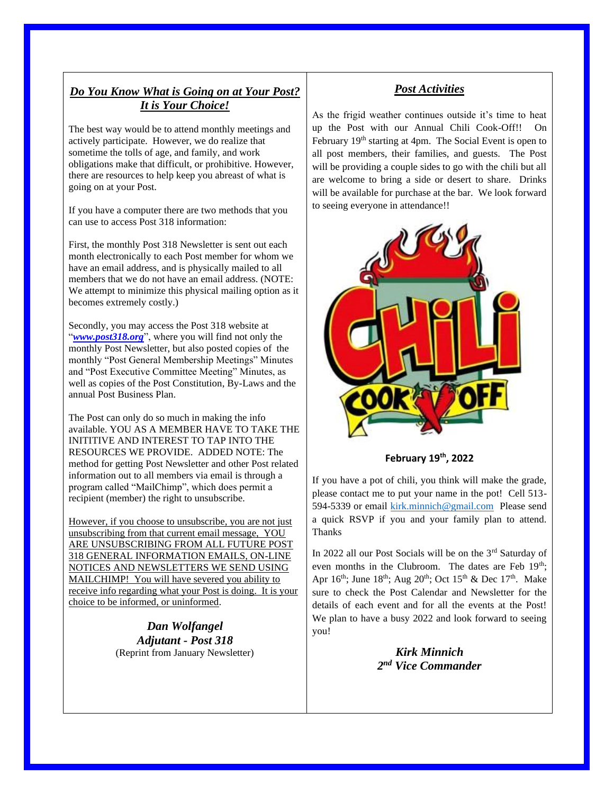# *Do You Know What is Going on at Your Post? It is Your Choice!*

The best way would be to attend monthly meetings and actively participate. However, we do realize that sometime the tolls of age, and family, and work obligations make that difficult, or prohibitive. However, there are resources to help keep you abreast of what is going on at your Post.

If you have a computer there are two methods that you can use to access Post 318 information:

First, the monthly Post 318 Newsletter is sent out each month electronically to each Post member for whom we have an email address, and is physically mailed to all members that we do not have an email address. (NOTE: We attempt to minimize this physical mailing option as it becomes extremely costly.)

Secondly, you may access the Post 318 website at "*[www.post318.org](http://www.post318.org/)*", where you will find not only the monthly Post Newsletter, but also posted copies of the monthly "Post General Membership Meetings" Minutes and "Post Executive Committee Meeting" Minutes, as well as copies of the Post Constitution, By-Laws and the annual Post Business Plan.

The Post can only do so much in making the info available. YOU AS A MEMBER HAVE TO TAKE THE INITITIVE AND INTEREST TO TAP INTO THE RESOURCES WE PROVIDE. ADDED NOTE: The method for getting Post Newsletter and other Post related information out to all members via email is through a program called "MailChimp", which does permit a recipient (member) the right to unsubscribe.

However, if you choose to unsubscribe, you are not just unsubscribing from that current email message, YOU ARE UNSUBSCRIBING FROM ALL FUTURE POST 318 GENERAL INFORMATION EMAILS, ON-LINE NOTICES AND NEWSLETTERS WE SEND USING MAILCHIMP! You will have severed you ability to receive info regarding what your Post is doing. It is your choice to be informed, or uninformed.

> *Dan Wolfangel Adjutant - Post 318* (Reprint from January Newsletter)

# *Post Activities*

As the frigid weather continues outside it's time to heat up the Post with our Annual Chili Cook-Off!! On February 19<sup>th</sup> starting at 4pm. The Social Event is open to all post members, their families, and guests. The Post will be providing a couple sides to go with the chili but all are welcome to bring a side or desert to share. Drinks will be available for purchase at the bar. We look forward to seeing everyone in attendance!!



**February 19th, 2022**

If you have a pot of chili, you think will make the grade, please contact me to put your name in the pot! Cell 513- 594-5339 or email [kirk.minnich@gmail.com](mailto:kirk.minnich@gmail.com) Please send a quick RSVP if you and your family plan to attend. Thanks

In 2022 all our Post Socials will be on the 3<sup>rd</sup> Saturday of even months in the Clubroom. The dates are Feb 19<sup>th</sup>; Apr  $16^{th}$ ; June  $18^{th}$ ; Aug  $20^{th}$ ; Oct  $15^{th}$  & Dec  $17^{th}$ . Make sure to check the Post Calendar and Newsletter for the details of each event and for all the events at the Post! We plan to have a busy 2022 and look forward to seeing you!

> *Kirk Minnich 2 nd Vice Commander*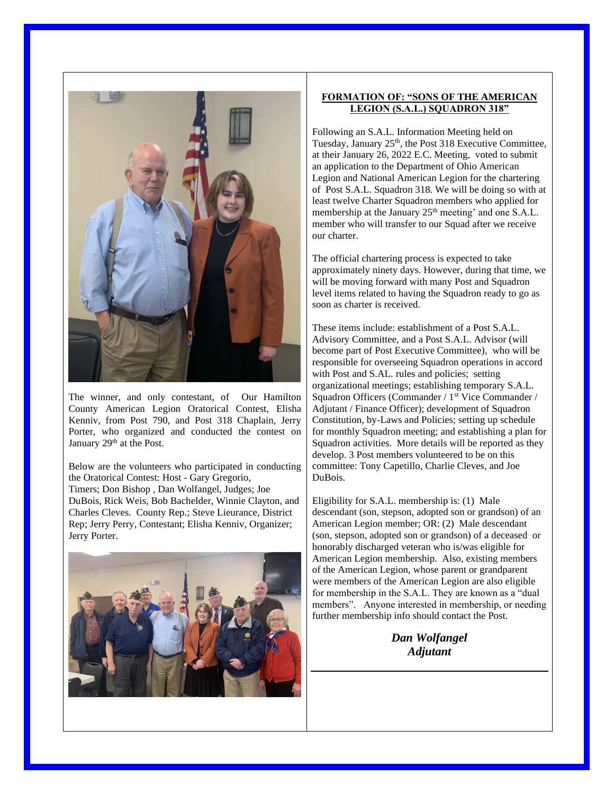

The winner, and only contestant, of Our Hamilton County American Legion Oratorical Contest, Elisha Kenniv, from Post 790, and Post 318 Chaplain, Jerry Porter, who organized and conducted the contest on January 29<sup>th</sup> at the Post.

Below are the volunteers who participated in conducting the Oratorical Contest: Host - Gary Gregorio, Timers; Don Bishop , Dan Wolfangel, Judges; Joe DuBois, Rick Weis, Bob Bachelder, Winnie Clayton, and Charles Cleves. County Rep.; Steve Lieurance, District Rep; Jerry Perry, Contestant; Elisha Kenniv, Organizer; Jerry Porter.



#### **FORMATION OF: "SONS OF THE AMERICAN LEGION (S.A.L.) SQUADRON 318"**

Following an S.A.L. Information Meeting held on Tuesday, January 25<sup>th</sup>, the Post 318 Executive Committee, at their January 26, 2022 E.C. Meeting, voted to submit an application to the Department of Ohio American Legion and National American Legion for the chartering of Post S.A.L. Squadron 318. We will be doing so with at least twelve Charter Squadron members who applied for membership at the January 25<sup>th</sup> meeting' and one S.A.L. member who will transfer to our Squad after we receive our charter.

The official chartering process is expected to take approximately ninety days. However, during that time, we will be moving forward with many Post and Squadron level items related to having the Squadron ready to go as soon as charter is received.

These items include: establishment of a Post S.A.L. Advisory Committee, and a Post S.A.L. Advisor (will become part of Post Executive Committee), who will be responsible for overseeing Squadron operations in accord with Post and S.AL. rules and policies; setting organizational meetings; establishing temporary S.A.L. Squadron Officers (Commander / 1<sup>st</sup> Vice Commander / Adjutant / Finance Officer); development of Squadron Constitution, by-Laws and Policies; setting up schedule for monthly Squadron meeting; and establishing a plan for Squadron activities. More details will be reported as they develop. 3 Post members volunteered to be on this committee: Tony Capetillo, Charlie Cleves, and Joe DuBois.

Eligibility for S.A.L. membership is: (1) Male descendant (son, stepson, adopted son or grandson) of an American Legion member; OR: (2) Male descendant (son, stepson, adopted son or grandson) of a deceased or honorably discharged veteran who is/was eligible for American Legion membership. Also, existing members of the American Legion, whose parent or grandparent were members of the American Legion are also eligible for membership in the S.A.L. They are known as a "dual members". Anyone interested in membership, or needing further membership info should contact the Post.

> *Dan Wolfangel Adjutant*